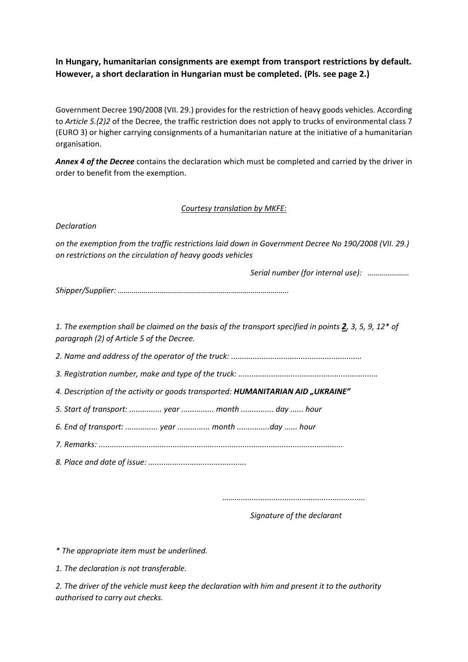## **In Hungary, humanitarian consignments are exempt from transport restrictions by default. However, a short declaration in Hungarian must be completed. (Pls. see page 2.)**

Government Decree 190/2008 (VII. 29.) provides for the restriction of heavy goods vehicles. According to *Article 5.(2)2* of the Decree, the traffic restriction does not apply to trucks of environmental class 7 (EURO 3) or higher carrying consignments of a humanitarian nature at the initiative of a humanitarian organisation.

*Annex 4 of the Decree* contains the declaration which must be completed and carried by the driver in order to benefit from the exemption.

## *Courtesy translation by MKFE:*

*Declaration*

*on the exemption from the traffic restrictions laid down in Government Decree No 190/2008 (VII. 29.) on restrictions on the circulation of heavy goods vehicles*

*Serial number (for internal use): …………………* 

*Shipper/Supplier: …………………………………………………………………………..*

*1. The exemption shall be claimed on the basis of the transport specified in points 2, 3, 5, 9, 12\* of paragraph (2) of Article 5 of the Decree.*

*2. Name and address of the operator of the truck: ............................................................*

*3. Registration number, make and type of the truck: ................................................................*

*4. Description of the activity or goods transported: HUMANITARIAN AID "UKRAINE"*

*5. Start of transport: ............... year ............... month ............... day ...... hour*

*6. End of transport: ............... year ............... month ...............day ...... hour*

*7. Remarks: ................................................................................................................*

*8. Place and date of issue: .............................................*

*……............................................................*

*Signature of the declarant*

*\* The appropriate item must be underlined.*

*1. The declaration is not transferable.*

*2. The driver of the vehicle must keep the declaration with him and present it to the authority authorised to carry out checks.*